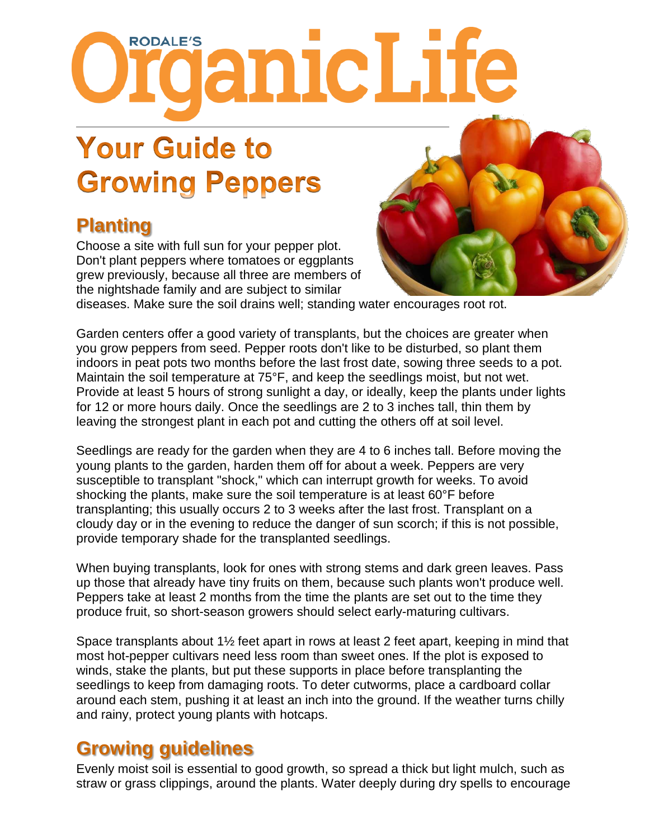# ropALE's anicLife

# **Your Guide to Growing Peppers**

# **Planting**

Choose a site with full sun for your pepper plot. Don't plant peppers where tomatoes or eggplants grew previously, because all three are members of the nightshade family and are subject to similar



diseases. Make sure the soil drains well; standing water encourages root rot.

Garden centers offer a good variety of transplants, but the choices are greater when you grow peppers from seed. Pepper roots don't like to be disturbed, so plant them indoors in peat pots two months before the last frost date, sowing three seeds to a pot. Maintain the soil temperature at 75°F, and keep the seedlings moist, but not wet. Provide at least 5 hours of strong sunlight a day, or ideally, keep the plants under lights for 12 or more hours daily. Once the seedlings are 2 to 3 inches tall, thin them by leaving the strongest plant in each pot and cutting the others off at soil level.

Seedlings are ready for the garden when they are 4 to 6 inches tall. Before moving the young plants to the garden, harden them off for about a week. Peppers are very susceptible to transplant "shock," which can interrupt growth for weeks. To avoid shocking the plants, make sure the soil temperature is at least 60°F before transplanting; this usually occurs 2 to 3 weeks after the last frost. Transplant on a cloudy day or in the evening to reduce the danger of sun scorch; if this is not possible, provide temporary shade for the transplanted seedlings.

When buying transplants, look for ones with strong stems and dark green leaves. Pass up those that already have tiny fruits on them, because such plants won't produce well. Peppers take at least 2 months from the time the plants are set out to the time they produce fruit, so short-season growers should select early-maturing cultivars.

Space transplants about 1½ feet apart in rows at least 2 feet apart, keeping in mind that most hot-pepper cultivars need less room than sweet ones. If the plot is exposed to winds, stake the plants, but put these supports in place before transplanting the seedlings to keep from damaging roots. To deter cutworms, place a cardboard collar around each stem, pushing it at least an inch into the ground. If the weather turns chilly and rainy, protect young plants with hotcaps.

#### **Growing guidelines**

Evenly moist soil is essential to good growth, so spread a thick but light mulch, such as straw or grass clippings, around the plants. Water deeply during dry spells to encourage